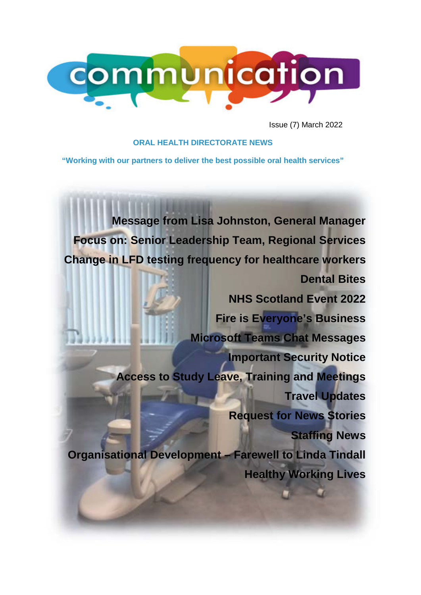

Issue (7) March 2022

### **ORAL HEALTH DIRECTORATE NEWS**

**"Working with our partners to deliver the best possible oral health services"**

**[Message from Lisa Johnston, General Manager](#page-1-0) [Focus on: Senior Leadership Team, Regional Services](#page-2-0) Change in LFD testing frequency for [healthcare](#page-3-0) workers [Dental Bites](#page-4-0) [NHS Scotland Event 2022](#page-4-1) [Fire is Everyone's Business](#page-4-2) Microsoft Teams Chat [Messages](#page-5-0) [Important](#page-5-1) Security Notice Access to Study Leave, Training and [Meetings](#page-6-0) Travel [Updates](#page-6-1) [Request for News Stories](#page-7-0) [Staffing News](#page-9-0) [Organisational Development –](#page-10-0) Farewell to Linda Tindall [Healthy Working Lives](#page-11-0)**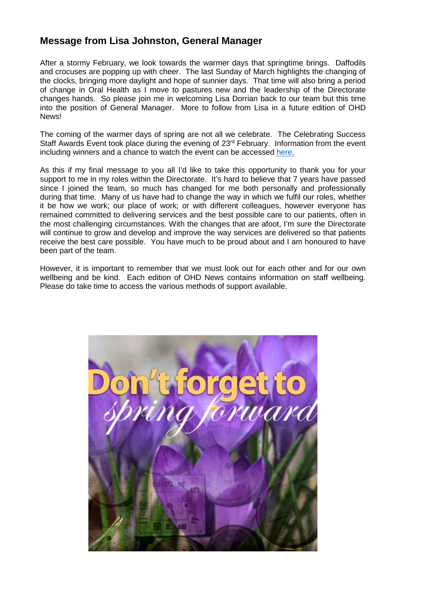# <span id="page-1-0"></span>**Message from Lisa Johnston, General Manager**

After a stormy February, we look towards the warmer days that springtime brings. Daffodils and crocuses are popping up with cheer. The last Sunday of March highlights the changing of the clocks, bringing more daylight and hope of sunnier days. That time will also bring a period of change in Oral Health as I move to pastures new and the leadership of the Directorate changes hands. So please join me in welcoming Lisa Dorrian back to our team but this time into the position of General Manager. More to follow from Lisa in a future edition of OHD News!

The coming of the warmer days of spring are not all we celebrate. The Celebrating Success Staff Awards Event took place during the evening of 23<sup>rd</sup> February. Information from the event including winners and a chance to watch the event can be accessed [here.](https://www.nhsggc.scot/staff-recruitment/staff-communications/celebrating-success/local-staff-awards-winners/)

As this if my final message to you all I'd like to take this opportunity to thank you for your support to me in my roles within the Directorate. It's hard to believe that 7 years have passed since I joined the team, so much has changed for me both personally and professionally during that time. Many of us have had to change the way in which we fulfil our roles, whether it be how we work; our place of work; or with different colleagues, however everyone has remained committed to delivering services and the best possible care to our patients, often in the most challenging circumstances. With the changes that are afoot, I'm sure the Directorate will continue to grow and develop and improve the way services are delivered so that patients receive the best care possible. You have much to be proud about and I am honoured to have been part of the team.

However, it is important to remember that we must look out for each other and for our own wellbeing and be kind. Each edition of OHD News contains information on staff wellbeing. Please do take time to access the various methods of support available.

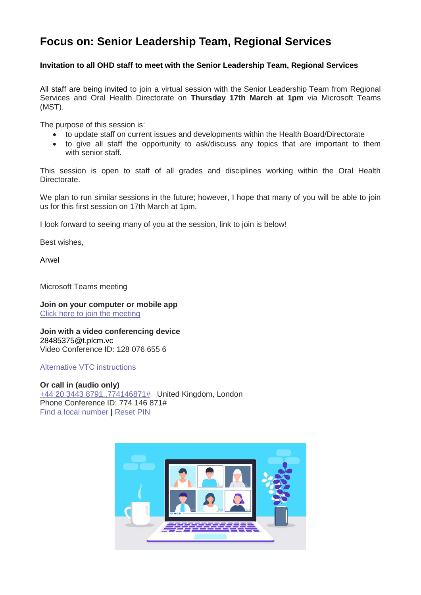# <span id="page-2-0"></span>**Focus on: Senior Leadership Team, Regional Services**

### **Invitation to all OHD staff to meet with the Senior Leadership Team, Regional Services**

All staff are being invited to join a virtual session with the Senior Leadership Team from Regional Services and Oral Health Directorate on **Thursday 17th March at 1pm** via Microsoft Teams (MST).

The purpose of this session is:

- to update staff on current issues and developments within the Health Board/Directorate
- to give all staff the opportunity to ask/discuss any topics that are important to them with senior staff

This session is open to staff of all grades and disciplines working within the Oral Health Directorate.

We plan to run similar sessions in the future; however, I hope that many of you will be able to join us for this first session on 17th March at 1pm.

I look forward to seeing many of you at the session, link to join is below!

Best wishes,

Arwel

Microsoft Teams meeting

**Join on your computer or mobile app** Click here to join the [meeting](https://teams.microsoft.com/l/meetup-join/19%3ameeting_NTVlMjQyNDktMmU1ZC00ZWY4LWJmYmYtYjJhM2M0ZGM5ZmMz%40thread.v2/0?context=%7b%22Tid%22%3a%2210efe0bd-a030-4bca-809c-b5e6745e499a%22%2c%22Oid%22%3a%22b39d67c8-f8d5-42da-a362-6991586c733a%22%7d)

**Join with a video conferencing device** 28485375@t.plcm.vc Video Conference ID: 128 076 655 6

Alternative VTC [instructions](https://dialin.plcm.vc/teams/?key=28485375&conf=1280766556)

**Or call in (audio only)** +44 20 3443 [8791,,774146871#](tel:+442034438791,,774146871) United Kingdom, London Phone Conference ID: 774 146 871# Find a local [number](https://dialin.teams.microsoft.com/9db0651e-1b94-4267-b3d9-25162f78ea1b?id=774146871) | [Reset](https://mysettings.lync.com/pstnconferencing) PIN

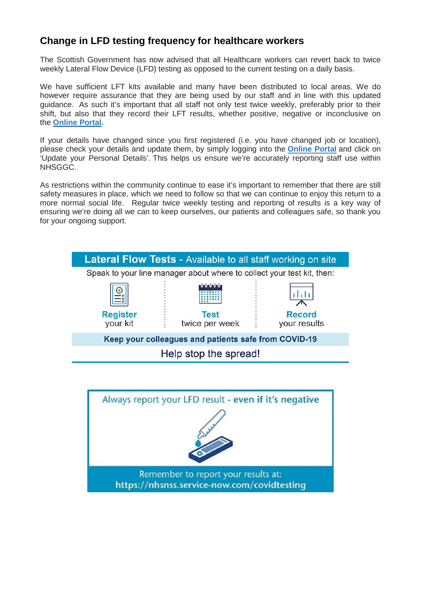# <span id="page-3-0"></span>**Change in LFD testing frequency for healthcare workers**

The Scottish Government has now advised that all Healthcare workers can revert back to twice weekly Lateral Flow Device (LFD) testing as opposed to the current testing on a daily basis.

We have sufficient LFT kits available and many have been distributed to local areas. We do however require assurance that they are being used by our staff and in line with this updated guidance. As such it's important that all staff not only test twice weekly, preferably prior to their shift, but also that they record their LFT results, whether positive, negative or inconclusive on the **[Online](https://nhsnss.service-now.com/covidtesting) Portal.**

If your details have changed since you first registered (i.e. you have changed job or location), please check your details and update them, by simply logging into the **[Online](https://nhsnss.service-now.com/covidtesting) Portal** and click on 'Update your Personal Details'. This helps us ensure we're accurately reporting staff use within NHSGGC.

As restrictions within the community continue to ease it's important to remember that there are still safety measures in place, which we need to follow so that we can continue to enjoy this return to a more normal social life. Regular twice weekly testing and reporting of results is a key way of ensuring we're doing all we can to keep ourselves, our patients and colleagues safe, so thank you for your ongoing support.



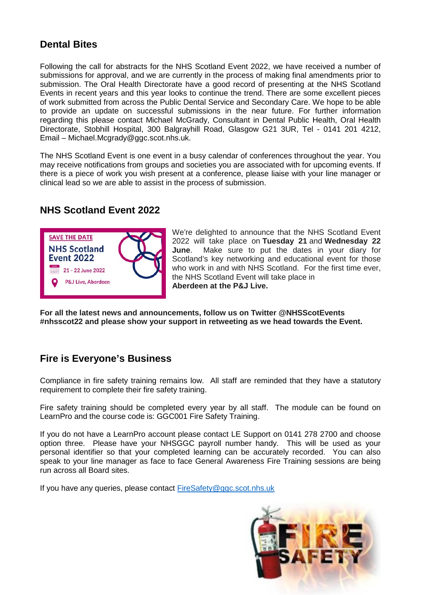# <span id="page-4-0"></span>**Dental Bites**

Following the call for abstracts for the NHS Scotland Event 2022, we have received a number of submissions for approval, and we are currently in the process of making final amendments prior to submission. The Oral Health Directorate have a good record of presenting at the NHS Scotland Events in recent years and this year looks to continue the trend. There are some excellent pieces of work submitted from across the Public Dental Service and Secondary Care. We hope to be able to provide an update on successful submissions in the near future. For further information regarding this please contact Michael McGrady, Consultant in Dental Public Health, Oral Health Directorate, Stobhill Hospital, 300 Balgrayhill Road, Glasgow G21 3UR, Tel - 0141 201 4212, Email – Michael.Mcgrady@ggc.scot.nhs.uk.

The NHS Scotland Event is one event in a busy calendar of conferences throughout the year. You may receive notifications from groups and societies you are associated with for upcoming events. If there is a piece of work you wish present at a conference, please liaise with your line manager or clinical lead so we are able to assist in the process of submission.

# <span id="page-4-1"></span>**NHS Scotland Event 2022**



We're delighted to announce that the NHS Scotland Event 2022 will take place on **Tuesday 21** and **Wednesday 22 June**. Make sure to put the dates in your diary for Scotland's key networking and educational event for those who work in and with NHS Scotland. For the first time ever, the NHS Scotland Event will take place in **Aberdeen at the P&J Live.**

**For all the latest news and announcements, follow us on Twitter @NHSScotEvents #nhsscot22 and please show your support in retweeting as we head towards the Event.**

# <span id="page-4-2"></span>**Fire is Everyone's Business**

Compliance in fire safety training remains low. All staff are reminded that they have a statutory requirement to complete their fire safety training.

Fire safety training should be completed every year by all staff. The module can be found on LearnPro and the course code is: GGC001 Fire Safety Training.

If you do not have a LearnPro account please contact LE Support on 0141 278 2700 and choose option three. Please have your NHSGGC payroll number handy. This will be used as your personal identifier so that your completed learning can be accurately recorded. You can also speak to your line manager as face to face General Awareness Fire Training sessions are being run across all Board sites.

If you have any queries, please contact [FireSafety@ggc.scot.nhs.uk](mailto:FireSafety@ggc.scot.nhs.uk)

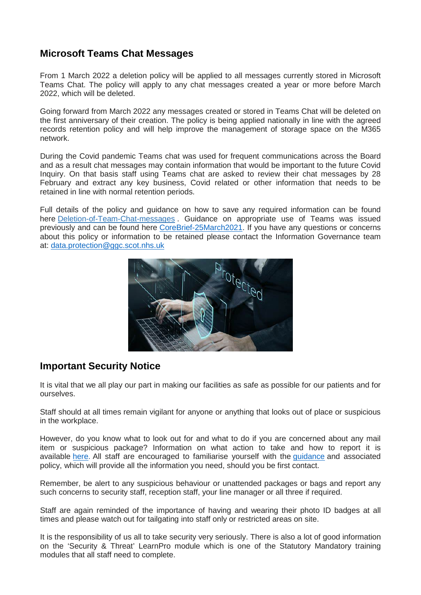### <span id="page-5-0"></span>**Microsoft Teams Chat Messages**

From 1 March 2022 a deletion policy will be applied to all messages currently stored in Microsoft Teams Chat. The policy will apply to any chat messages created a year or more before March 2022, which will be deleted.

Going forward from March 2022 any messages created or stored in Teams Chat will be deleted on the first anniversary of their creation. The policy is being applied nationally in line with the agreed records retention policy and will help improve the management of storage space on the M365 network.

During the Covid pandemic Teams chat was used for frequent communications across the Board and as a result chat messages may contain information that would be important to the future Covid Inquiry. On that basis staff using Teams chat are asked to review their chat messages by 28 February and extract any key business, Covid related or other information that needs to be retained in line with normal retention periods.

Full details of the policy and guidance on how to save any required information can be found here [Deletion-of-Team-Chat-messages](https://scottish.sharepoint.com/sites/NHSSLearningPathways/SitePages/Deletion-of-Team-Chat-messages.aspx?OR=Teams-HL&CT=1641901527643) . Guidance on appropriate use of Teams was issued previously and can be found here [CoreBrief-25March2021.](https://www.nhsggc.org.uk/media/266010/063-core-brief-25-march-2021-daily-update.pdf) If you have any questions or concerns about this policy or information to be retained please contact the Information Governance team at: [data.protection@ggc.scot.nhs.uk](mailto:data.protection@ggc.scot.nhs.uk)



# <span id="page-5-1"></span>**Important Security Notice**

It is vital that we all play our part in making our facilities as safe as possible for our patients and for ourselves.

Staff should at all times remain vigilant for anyone or anything that looks out of place or suspicious in the workplace.

However, do you know what to look out for and what to do if you are concerned about any mail item or suspicious package? Information on what action to take and how to report it is available [here.](http://www.staffnet.ggc.scot.nhs.uk/Acute/Facilities/Security/Documents/Security%20and%20Threat%20Policy%20Final%20Sept%202018%20v.2.docx) All staff are encouraged to familiarise yourself with the *[guidance](http://www.staffnet.ggc.scot.nhs.uk/Corporate%20Services/Communications/Hot%20Topics/Documents/Suspicious_Mail_Packages_Guidance.doc)* and associated policy, which will provide all the information you need, should you be first contact.

Remember, be alert to any suspicious behaviour or unattended packages or bags and report any such concerns to security staff, reception staff, your line manager or all three if required.

Staff are again reminded of the importance of having and wearing their photo ID badges at all times and please watch out for tailgating into staff only or restricted areas on site.

It is the responsibility of us all to take security very seriously. There is also a lot of good information on the 'Security & Threat' LearnPro module which is one of the Statutory Mandatory training modules that all staff need to complete.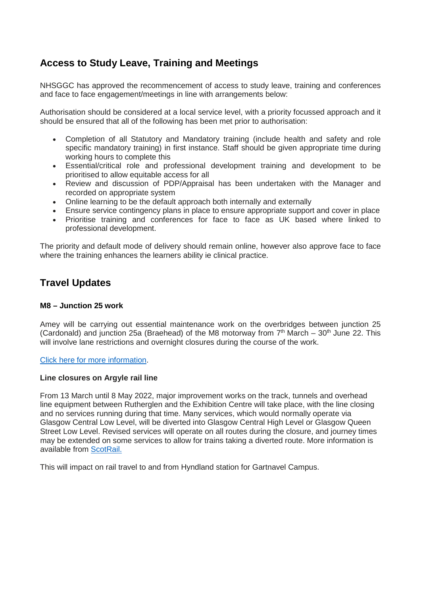# <span id="page-6-0"></span>**Access to Study Leave, Training and Meetings**

NHSGGC has approved the recommencement of access to study leave, training and conferences and face to face engagement/meetings in line with arrangements below:

Authorisation should be considered at a local service level, with a priority focussed approach and it should be ensured that all of the following has been met prior to authorisation:

- Completion of all Statutory and Mandatory training (include health and safety and role specific mandatory training) in first instance. Staff should be given appropriate time during working hours to complete this
- Essential/critical role and professional development training and development to be prioritised to allow equitable access for all
- Review and discussion of PDP/Appraisal has been undertaken with the Manager and recorded on appropriate system
- Online learning to be the default approach both internally and externally
- Ensure service contingency plans in place to ensure appropriate support and cover in place
- Prioritise training and conferences for face to face as UK based where linked to professional development.

The priority and default mode of delivery should remain online, however also approve face to face where the training enhances the learners ability ie clinical practice.

# <span id="page-6-1"></span>**Travel Updates**

### **M8 – Junction 25 work**

Amey will be carrying out essential maintenance work on the overbridges between junction 25 (Cardonald) and junction 25a (Braehead) of the M8 motorway from  $7<sup>th</sup>$  March – 30<sup>th</sup> June 22. This will involve lane restrictions and overnight closures during the course of the work.

Click here for more [information.](https://swtrunkroads.scot/scottish-south-west-trunk-roads/m8/m8-junction-25-25a/)

#### **Line closures on Argyle rail line**

From 13 March until 8 May 2022, major improvement works on the track, tunnels and overhead line equipment between Rutherglen and the Exhibition Centre will take place, with the line closing and no services running during that time. Many services, which would normally operate via Glasgow Central Low Level, will be diverted into Glasgow Central High Level or Glasgow Queen Street Low Level. Revised services will operate on all routes during the closure, and journey times may be extended on some services to allow for trains taking a diverted route. More information is available from [ScotRail.](https://www.scotrail.co.uk/anderston-tunnel-closure-impacts-works-and-travel-advice)

This will impact on rail travel to and from Hyndland station for Gartnavel Campus.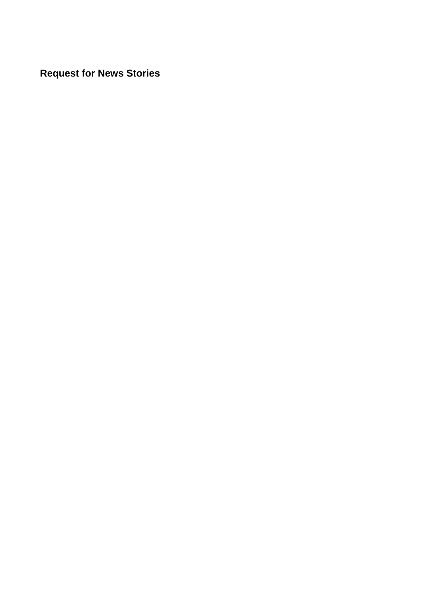<span id="page-7-0"></span>**Request for News Stories**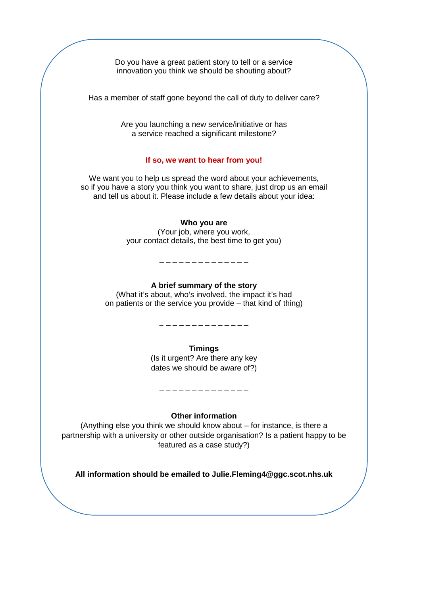Do you have a great patient story to tell or a service innovation you think we should be shouting about?

Has a member of staff gone beyond the call of duty to deliver care?

Are you launching a new service/initiative or has a service reached a significant milestone?

#### **If so, we want to hear from you!**

We want you to help us spread the word about your achievements, so if you have a story you think you want to share, just drop us an email and tell us about it. Please include a few details about your idea:

#### **Who you are**

(Your job, where you work, your contact details, the best time to get you)

\_ \_ \_ \_ \_ \_ \_ \_ \_ \_ \_ \_ \_ \_

#### **A brief summary of the story**

(What it's about, who's involved, the impact it's had on patients or the service you provide – that kind of thing)

\_ \_ \_ \_ \_ \_ \_ \_ \_ \_ \_ \_ \_ \_

**Timings**

(Is it urgent? Are there any key dates we should be aware of?)

**Other information**

\_ \_ \_ \_ \_ \_ \_ \_ \_ \_ \_ \_ \_ \_

(Anything else you think we should know about – for instance, is there a partnership with a university or other outside organisation? Is a patient happy to be featured as a case study?)

**All information should be emailed to Julie.Fleming4@ggc.scot.nhs.uk**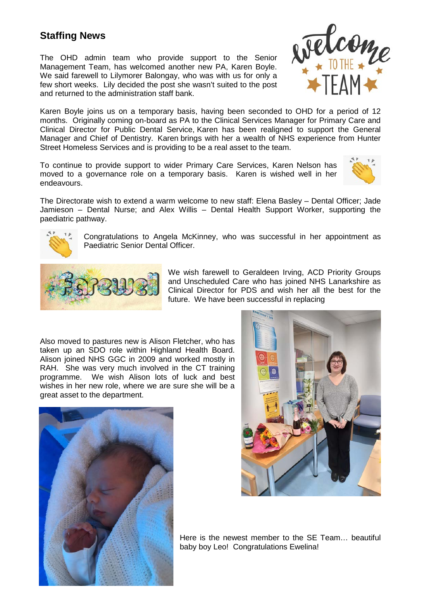# <span id="page-9-0"></span>**Staffing News**

The OHD admin team who provide support to the Senior Management Team, has welcomed another new PA, Karen Boyle. We said farewell to Lilymorer Balongay, who was with us for only a few short weeks. Lily decided the post she wasn't suited to the post and returned to the administration staff bank.



Karen Boyle joins us on a temporary basis, having been seconded to OHD for a period of 12 months. Originally coming on-board as PA to the Clinical Services Manager for Primary Care and Clinical Director for Public Dental Service, Karen has been realigned to support the General Manager and Chief of Dentistry. Karen brings with her a wealth of NHS experience from Hunter Street Homeless Services and is providing to be a real asset to the team.

To continue to provide support to wider Primary Care Services, Karen Nelson has moved to a governance role on a temporary basis. Karen is wished well in her endeavours.



The Directorate wish to extend a warm welcome to new staff: Elena Basley – Dental Officer; Jade Jamieson – Dental Nurse; and Alex Willis – Dental Health Support Worker, supporting the paediatric pathway.



Congratulations to Angela McKinney, who was successful in her appointment as Paediatric Senior Dental Officer.



We wish farewell to Geraldeen Irving, ACD Priority Groups and Unscheduled Care who has joined NHS Lanarkshire as Clinical Director for PDS and wish her all the best for the future. We have been successful in replacing

Also moved to pastures new is Alison Fletcher, who has taken up an SDO role within Highland Health Board. Alison joined NHS GGC in 2009 and worked mostly in RAH. She was very much involved in the CT training programme. We wish Alison lots of luck and best wishes in her new role, where we are sure she will be a great asset to the department.





Here is the newest member to the SE Team… beautiful baby boy Leo! Congratulations Ewelina!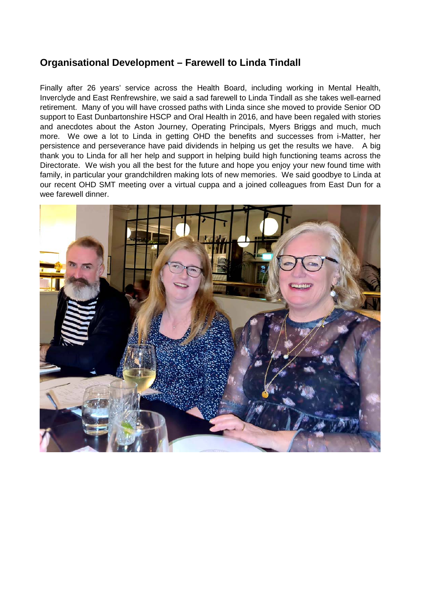# <span id="page-10-0"></span>**Organisational Development – Farewell to Linda Tindall**

Finally after 26 years' service across the Health Board, including working in Mental Health, Inverclyde and East Renfrewshire, we said a sad farewell to Linda Tindall as she takes well-earned retirement. Many of you will have crossed paths with Linda since she moved to provide Senior OD support to East Dunbartonshire HSCP and Oral Health in 2016, and have been regaled with stories and anecdotes about the Aston Journey, Operating Principals, Myers Briggs and much, much more. We owe a lot to Linda in getting OHD the benefits and successes from i-Matter, her persistence and perseverance have paid dividends in helping us get the results we have. A big thank you to Linda for all her help and support in helping build high functioning teams across the Directorate. We wish you all the best for the future and hope you enjoy your new found time with family, in particular your grandchildren making lots of new memories. We said goodbye to Linda at our recent OHD SMT meeting over a virtual cuppa and a joined colleagues from East Dun for a wee farewell dinner.

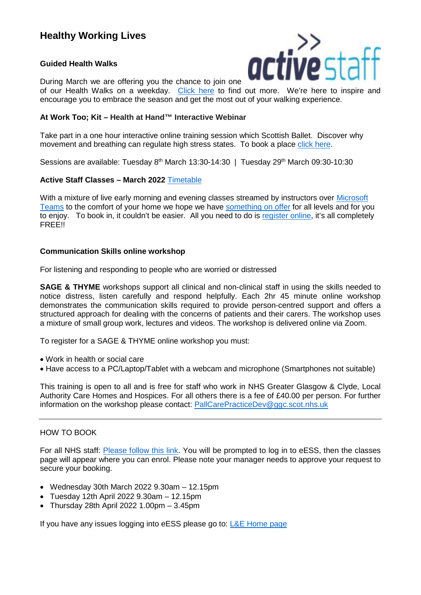# <span id="page-11-0"></span>**Healthy Working Lives**

### **Guided Health Walks**



During March we are offering you the chance to join one of our Health Walks on a weekday. [Click here](https://www.nhsggc.org.uk/working-with-us/staff-communications/staff-health-wellbeing/active-staff/guided-health-walks/) to find out more. We're here to inspire and

# encourage you to embrace the season and get the most out of your walking experience.

### **At Work Too; Kit – Health at Hand™ Interactive Webinar**

Take part in a one hour interactive online training session which Scottish Ballet. Discover why movement and breathing can regulate high stress states. To book a place [click here.](https://link.webropolsurveys.com/Participation/Public/4f1a8be3-2829-4e21-85cf-6d966e8a5b23?displayId=Uni2486654)

Sessions are available: Tuesday 8<sup>th</sup> March 13:30-14:30 | Tuesday 29<sup>th</sup> March 09:30-10:30

### **Active Staff Classes – March 2022** [Timetable](https://www.nhsggc.org.uk/working-with-us/staff-communications/staff-health-wellbeing/active-staff/active-classes-march-2022/)

With a mixture of live early morning and evening classes streamed by instructors over [Microsoft](https://www.microsoft.com/en-gb/microsoft-teams/download-app)  [Teams](https://www.microsoft.com/en-gb/microsoft-teams/download-app) to the comfort of your home we hope we have [something on offer](https://www.nhsggc.org.uk/working-with-us/staff-communications/staff-health-wellbeing/active-staff/active-sites/classes-and-activities/) for all levels and for you to enjoy. To book in, it couldn't be easier. All you need to do is [register online,](https://www.nhsggc.org.uk/working-with-us/staff-communications/staff-health-wellbeing/active-staff/active-sites/book-a-class/) it's all completely **FREE!!** 

#### **Communication Skills online workshop**

For listening and responding to people who are worried or distressed

**SAGE & THYME** workshops support all clinical and non-clinical staff in using the skills needed to notice distress, listen carefully and respond helpfully. Each 2hr 45 minute online workshop demonstrates the communication skills required to provide person-centred support and offers a structured approach for dealing with the concerns of patients and their carers. The workshop uses a mixture of small group work, lectures and videos. The workshop is delivered online via Zoom.

To register for a SAGE & THYME online workshop you must:

- Work in health or social care
- Have access to a PC/Laptop/Tablet with a webcam and microphone (Smartphones not suitable)

This training is open to all and is free for staff who work in NHS Greater Glasgow & Clyde, Local Authority Care Homes and Hospices. For all others there is a fee of £40.00 per person. For further information on the workshop please contact: [PallCarePracticeDev@ggc.scot.nhs.uk](mailto:PallCarePracticeDev@ggc.scot.nhs.uk)

### HOW TO BOOK

For all NHS staff: **Please follow this link**. You will be prompted to log in to eESS, then the classes page will appear where you can enrol. Please note your manager needs to approve your request to secure your booking.

- Wednesday 30th March 2022 9.30am 12.15pm
- Tuesday 12th April 2022 9.30am 12.15pm
- Thursday 28th April 2022 1.00pm  $-3.45$ pm

If you have any issues logging into eESS please go to: [L&E Home page](https://www.nhsggc.org.uk/working-with-us/hr-connect/learning-education-and-training/)